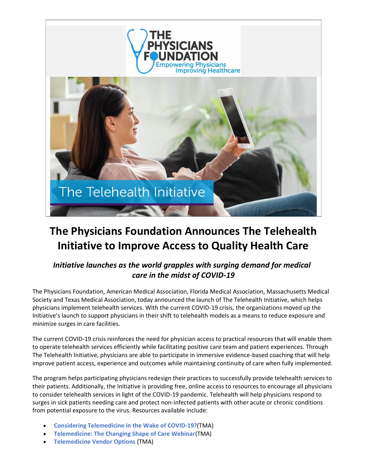



# **The Physicians Foundation Announces The Telehealth Initiative to Improve Access to Quality Health Care**

## *Initiative launches as the world grapples with surging demand for medical care in the midst of COVID-19*

The Physicians Foundation, American Medical Association, Florida Medical Association, Massachusetts Medical Society and Texas Medical Association, today announced the launch of The Telehealth Initiative, which helps physicians implement telehealth services. With the current COVID-19 crisis, the organizations moved up the Initiative's launch to support physicians in their shift to telehealth models as a means to reduce exposure and minimize surges in care facilities.

The current COVID-19 crisis reinforces the need for physician access to practical resources that will enable them to operate telehealth services efficiently while facilitating positive care team and patient experiences. Through The Telehealth Initiative, physicians are able to participate in immersive evidence-based coaching that will help improve patient access, experience and outcomes while maintaining continuity of care when fully implemented.

The program helps participating physicians redesign their practices to successfully provide telehealth services to their patients. Additionally, the Initiative is providing free, online access to resources to encourage all physicians to consider telehealth services in light of the COVID-19 pandemic. Telehealth will help physicians respond to surges in sick patients needing care and protect non-infected patients with other acute or chronic conditions from potential exposure to the virus. Resources available include:

- **[Considering Telemedicine in the Wake of COVID-19?](http://r20.rs6.net/tn.jsp?f=001iwBzxs3pBCnnXTNwGjBrdB4TlD1SP2kl6e8QVMC12iG5syz2o6GtPrEAprJzjiEyBmbhB4b3h4krNvfFewIePWTtDzZk0tW3G5yC_LgBLQvh118kmMZgQHqtZWVvfeCoIQj7K4U5C-wZNMv5G56Ov6NRa0H7GyYMoVUnw07k1lXwg35Ai2AwUI4kOWlJ1MFS&c=lRwPIdUtEqyP_fLsgGWWLPNJjPFkYAvDTIhRra23IiYEuKbgYZiAZQ==&ch=Hm6WaJze4mgUYWz4hLolM7I-Ia2Nvcrr_dw_DQgMgmPi34Lmg33UBw==)**(TMA)
- **[Telemedicine: The Changing Shape of Care Webinar](http://r20.rs6.net/tn.jsp?f=001iwBzxs3pBCnnXTNwGjBrdB4TlD1SP2kl6e8QVMC12iG5syz2o6GtPrEAprJzjiEy1cKSgxrE66bPlPEJbfwLIm6FUXM4zyu-UjseIVtzwQ1lqUBHiR6qprSeeEnYV8sidalh_Ft3xES7Z1WHtQnsH5uiUq7Um8O6q1QLMrSabwUjVEhqymq00dkS9eeldCgd6Q06MuToyHz7XfzjZ88va9j3X-CgrcK73uARFfaa5MM=&c=lRwPIdUtEqyP_fLsgGWWLPNJjPFkYAvDTIhRra23IiYEuKbgYZiAZQ==&ch=Hm6WaJze4mgUYWz4hLolM7I-Ia2Nvcrr_dw_DQgMgmPi34Lmg33UBw==)**(TMA)
- **[Telemedicine Vendor](http://r20.rs6.net/tn.jsp?f=001iwBzxs3pBCnnXTNwGjBrdB4TlD1SP2kl6e8QVMC12iG5syz2o6GtPrEAprJzjiEynuiG5IBD5-QazrXr0Hr16_wxvnNP8Y635NQ1FpN8BM3CWEe5uBjzMQ0FxSn9x6Q1iYwFDpguZItVbDvE15oPRWXL7ABUyGMMgKUGp02_fQPJ8idPVlNXy2ynxlOD3bIOEkf1oivT28Pq7_biQLIPNTP4qDsAhRdfYp4GcRrA9pRF3dJdV9kKepmSbRVcbajoC_ICKRHKVh8hTB4mI1KzFr2f_Bm6TdUsJt3dhDmFOS7XasdfhaP8bjfRzHvbkVch&c=lRwPIdUtEqyP_fLsgGWWLPNJjPFkYAvDTIhRra23IiYEuKbgYZiAZQ==&ch=Hm6WaJze4mgUYWz4hLolM7I-Ia2Nvcrr_dw_DQgMgmPi34Lmg33UBw==) Options** (TMA)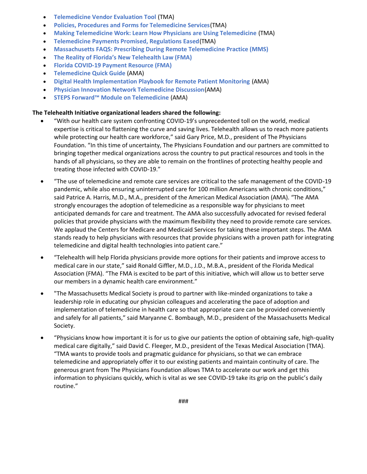- **[Telemedicine Vendor Evaluation Tool](http://r20.rs6.net/tn.jsp?f=001iwBzxs3pBCnnXTNwGjBrdB4TlD1SP2kl6e8QVMC12iG5syz2o6GtPrEAprJzjiEyi7FSIf_0dxL2tyKpDmfYvADmoNH7WzNKZM2FBKGlNMnAtl9NIs57h_Atn4lVn3CM1nA2v5-5qowZNhC0P3Ypl8lZQhgz2ds1S147IYPJjKJ9N1mppvwGK-CWSCNTEbA19fvz4zgIr16Q9K06W4EMQ1ZHo8Vjq84eGmOL6IugQw6kStXAc8_FqYL9A_J0__MPT4JLQAZ-yboJkgP-kCzxcpbxibivw5bRlGgfl5bctcYZg4pAiMEXpA==&c=lRwPIdUtEqyP_fLsgGWWLPNJjPFkYAvDTIhRra23IiYEuKbgYZiAZQ==&ch=Hm6WaJze4mgUYWz4hLolM7I-Ia2Nvcrr_dw_DQgMgmPi34Lmg33UBw==)** (TMA)
- **[Policies, Procedures and Forms for Telemedicine Services](http://r20.rs6.net/tn.jsp?f=001iwBzxs3pBCnnXTNwGjBrdB4TlD1SP2kl6e8QVMC12iG5syz2o6GtPrEAprJzjiEyXLpQmToX3glrncHrxjJJX4lPYpBjTcS9JVw-wOX5X55T8_xfzQZaMToxlWMvw2TvkxDXf7H0ez8TD1YX_YBCtvVsyFXOVMpd&c=lRwPIdUtEqyP_fLsgGWWLPNJjPFkYAvDTIhRra23IiYEuKbgYZiAZQ==&ch=Hm6WaJze4mgUYWz4hLolM7I-Ia2Nvcrr_dw_DQgMgmPi34Lmg33UBw==)**(TMA)
- **[Making Telemedicine Work: Learn How Physicians are Using Telemedicine](http://r20.rs6.net/tn.jsp?f=001iwBzxs3pBCnnXTNwGjBrdB4TlD1SP2kl6e8QVMC12iG5syz2o6GtPrEAprJzjiEy4e6M-EUW-LqDykZaqCerEMzHewkQW6fbHXTJFQ1zCXcbhkcqx4nOCnUTLoPismgRAbcPkznGpKvivgQVouRVNMVponJSjxxgnSVED6G0553Bx5Kx5N3wgtvyD6xi84kQ&c=lRwPIdUtEqyP_fLsgGWWLPNJjPFkYAvDTIhRra23IiYEuKbgYZiAZQ==&ch=Hm6WaJze4mgUYWz4hLolM7I-Ia2Nvcrr_dw_DQgMgmPi34Lmg33UBw==)** (TMA)
- **[Telemedicine Payments Promised, Regulations Eased](http://r20.rs6.net/tn.jsp?f=001iwBzxs3pBCnnXTNwGjBrdB4TlD1SP2kl6e8QVMC12iG5syz2o6GtPrEAprJzjiEyu0UQNi-mCRE8avwgOZ_qBhiptmw2bMk5m91Dp5_mVQBPt3PIfO1s4ggdW9tEsp3KfGb6afSzk1fYzNCw3wWxji8g9fSrR-Kdm0qdIwjYfT8KiksMIBusB8FJ_zJc3Nln&c=lRwPIdUtEqyP_fLsgGWWLPNJjPFkYAvDTIhRra23IiYEuKbgYZiAZQ==&ch=Hm6WaJze4mgUYWz4hLolM7I-Ia2Nvcrr_dw_DQgMgmPi34Lmg33UBw==)**(TMA)
- **[Massachusetts FAQS: Prescribing During Remote Telemedicine Practice \(MMS\)](http://r20.rs6.net/tn.jsp?f=001iwBzxs3pBCnnXTNwGjBrdB4TlD1SP2kl6e8QVMC12iG5syz2o6GtPrEAprJzjiEyXWXJt691pvUeDjK3LiB5F_6HKfIuChAVKecq3ynccLqEW6tnrfamicBoAEaRZtTswcipBa1MBPCuPghMTFhwLU6jN10AQukYmekrb9jcxgvBo9mPPygf8Lfp6WqZ78vYQKzEULh7Ry4QUAmO6s_TBYg-tHFs0tjP17UYWuLfpsV4Ti0eZxmMldoy1_7CiLv8X3r3N-cNAdRf0HEL8ILjNw==&c=lRwPIdUtEqyP_fLsgGWWLPNJjPFkYAvDTIhRra23IiYEuKbgYZiAZQ==&ch=Hm6WaJze4mgUYWz4hLolM7I-Ia2Nvcrr_dw_DQgMgmPi34Lmg33UBw==)**
- **[The Reality of Florida's New Telehealth Law \(F](http://r20.rs6.net/tn.jsp?f=001iwBzxs3pBCnnXTNwGjBrdB4TlD1SP2kl6e8QVMC12iG5syz2o6GtPrEAprJzjiEyMD8TeL8pu9ryq712FDe9LVXwDD6qRa39-ugHsttEziJDFaG3hpxzuBhnGZMnzHGwP7M6Bbj5pBwCXwMs9PA-YiXy99-4Od3ai0EoTTyFSWC5HcHg02QHg7CYvbC5QLCzdV9dPUqgU-hQJryHkDwF6A==&c=lRwPIdUtEqyP_fLsgGWWLPNJjPFkYAvDTIhRra23IiYEuKbgYZiAZQ==&ch=Hm6WaJze4mgUYWz4hLolM7I-Ia2Nvcrr_dw_DQgMgmPi34Lmg33UBw==)MA)**
- **[Florida COVID-19 Payment Resource \(FMA\)](http://r20.rs6.net/tn.jsp?f=001iwBzxs3pBCnnXTNwGjBrdB4TlD1SP2kl6e8QVMC12iG5syz2o6GtPrEAprJzjiEywLEhInu5-G8pmaTfXDBbGbwfHTnmr4bZXz7BaLLxjDDX2eUDPR2u2Hs8HS_8l9OXq-8WqR3ArfO7SBbugMA5DbArk3rRGhN1LPU6WKGsh724DmlskQb2TXxB6m4XQ8bSyHIFvXJzps-tqlO7XjftvBGAbL8jJc77xF0dXcqbzkdMW9LBVd9RlzDCOL9RaGEz&c=lRwPIdUtEqyP_fLsgGWWLPNJjPFkYAvDTIhRra23IiYEuKbgYZiAZQ==&ch=Hm6WaJze4mgUYWz4hLolM7I-Ia2Nvcrr_dw_DQgMgmPi34Lmg33UBw==)**
- **[Telemedicine Quick Guide](http://r20.rs6.net/tn.jsp?f=001iwBzxs3pBCnnXTNwGjBrdB4TlD1SP2kl6e8QVMC12iG5syz2o6GtPrEAprJzjiEyE7GgjIciPV-D-SPx1zCfDfxyIPjVuuLtYqBRHcld6DpKveXcXnfQ0pS-tsp9jyzifsvD4ypxvfJoyK-KtfaHs0snSoIv_Cnw0sWMCHCXXrzfFFMF29vxvC1r0-tFOkbgJGsxrMyultIs9fL2WxE8e2IyaRB5jGon8ttBIHON8Fo=&c=lRwPIdUtEqyP_fLsgGWWLPNJjPFkYAvDTIhRra23IiYEuKbgYZiAZQ==&ch=Hm6WaJze4mgUYWz4hLolM7I-Ia2Nvcrr_dw_DQgMgmPi34Lmg33UBw==)** (AMA)
- **[Digital Health Implementation Playbook for Remote Patient Monitoring](http://r20.rs6.net/tn.jsp?f=001iwBzxs3pBCnnXTNwGjBrdB4TlD1SP2kl6e8QVMC12iG5syz2o6GtPrEAprJzjiEyjvKe4cXZXudFuBKgE4YTaJGQXRcLmhHnnGFX25SV7048YTp8k-1IAOlBbLbe06O7NGb3Sc5pjjtUd4f5SkENCNMSFZC_la2LLkdTrbrGsCmOjffkG0bRXg==&c=lRwPIdUtEqyP_fLsgGWWLPNJjPFkYAvDTIhRra23IiYEuKbgYZiAZQ==&ch=Hm6WaJze4mgUYWz4hLolM7I-Ia2Nvcrr_dw_DQgMgmPi34Lmg33UBw==)** (AMA)
- **[Physician Innovation Network Telemedicine Discussion](http://r20.rs6.net/tn.jsp?f=001iwBzxs3pBCnnXTNwGjBrdB4TlD1SP2kl6e8QVMC12iG5syz2o6GtPrEAprJzjiEyJrV1Snc_V5bs-c04vZYBRW_wNFVF0s2eq2QP3Zya96gmt5bLewK2CSYIRXXckDSysHH637CMrA9oPCnb92xW_mVbmeQwnEWNGXjIpWwC8aAxAKPaulqp2HNbKVabjYQScKNoArG6dN1i41KWA2R4Cxy4Fp2pF96sdWebwQpWkTF8HuySCuX0Cqgtkc2nq0vL4O_opqlW0Qx7LPdXkToohsl4Z-qg6M6Q&c=lRwPIdUtEqyP_fLsgGWWLPNJjPFkYAvDTIhRra23IiYEuKbgYZiAZQ==&ch=Hm6WaJze4mgUYWz4hLolM7I-Ia2Nvcrr_dw_DQgMgmPi34Lmg33UBw==)**(AMA)
- **[STEPS Forward™ Module on Telemedicine](http://r20.rs6.net/tn.jsp?f=001iwBzxs3pBCnnXTNwGjBrdB4TlD1SP2kl6e8QVMC12iG5syz2o6GtPrEAprJzjiEyD66obgU0w6sHS8KZuWJ_B7Uv_54-cAur2pVuasWXBOHYRjXhpQkt4CF6LEzHYwvUVsVNdE47Rlz26f4igyo4ZIT0gRYLvI9gyuXyAA_qoJzygUEH5c9UN_mg4FUFyqr4&c=lRwPIdUtEqyP_fLsgGWWLPNJjPFkYAvDTIhRra23IiYEuKbgYZiAZQ==&ch=Hm6WaJze4mgUYWz4hLolM7I-Ia2Nvcrr_dw_DQgMgmPi34Lmg33UBw==)** (AMA)

#### **The Telehealth Initiative organizational leaders shared the following:**

- "With our health care system confronting COVID-19's unprecedented toll on the world, medical expertise is critical to flattening the curve and saving lives. Telehealth allows us to reach more patients while protecting our health care workforce," said Gary Price, M.D., president of The Physicians Foundation. "In this time of uncertainty, The Physicians Foundation and our partners are committed to bringing together medical organizations across the country to put practical resources and tools in the hands of all physicians, so they are able to remain on the frontlines of protecting healthy people and treating those infected with COVID-19."
- "The use of telemedicine and remote care services are critical to the safe management of the COVID-19 pandemic, while also ensuring uninterrupted care for 100 million Americans with chronic conditions," said Patrice A. Harris, M.D., M.A., president of the American Medical Association (AMA). "The AMA strongly encourages the adoption of telemedicine as a responsible way for physicians to meet anticipated demands for care and treatment. The AMA also successfully advocated for revised federal policies that provide physicians with the maximum flexibility they need to provide remote care services. We applaud the Centers for Medicare and Medicaid Services for taking these important steps. The AMA stands ready to help physicians with resources that provide physicians with a proven path for integrating telemedicine and digital health technologies into patient care."
- "Telehealth will help Florida physicians provide more options for their patients and improve access to medical care in our state," said Ronald Giffler, M.D., J.D., M.B.A., president of the Florida Medical Association (FMA). "The FMA is excited to be part of this initiative, which will allow us to better serve our members in a dynamic health care environment."
- "The Massachusetts Medical Society is proud to partner with like-minded organizations to take a leadership role in educating our physician colleagues and accelerating the pace of adoption and implementation of telemedicine in health care so that appropriate care can be provided conveniently and safely for all patients," said Maryanne C. Bombaugh, M.D., president of the Massachusetts Medical Society.
- "Physicians know how important it is for us to give our patients the option of obtaining safe, high-quality medical care digitally," said David C. Fleeger, M.D., president of the Texas Medical Association (TMA). "TMA wants to provide tools and pragmatic guidance for physicians, so that we can embrace telemedicine and appropriately offer it to our existing patients and maintain continuity of care. The generous grant from The Physicians Foundation allows TMA to accelerate our work and get this information to physicians quickly, which is vital as we see COVID-19 take its grip on the public's daily routine."